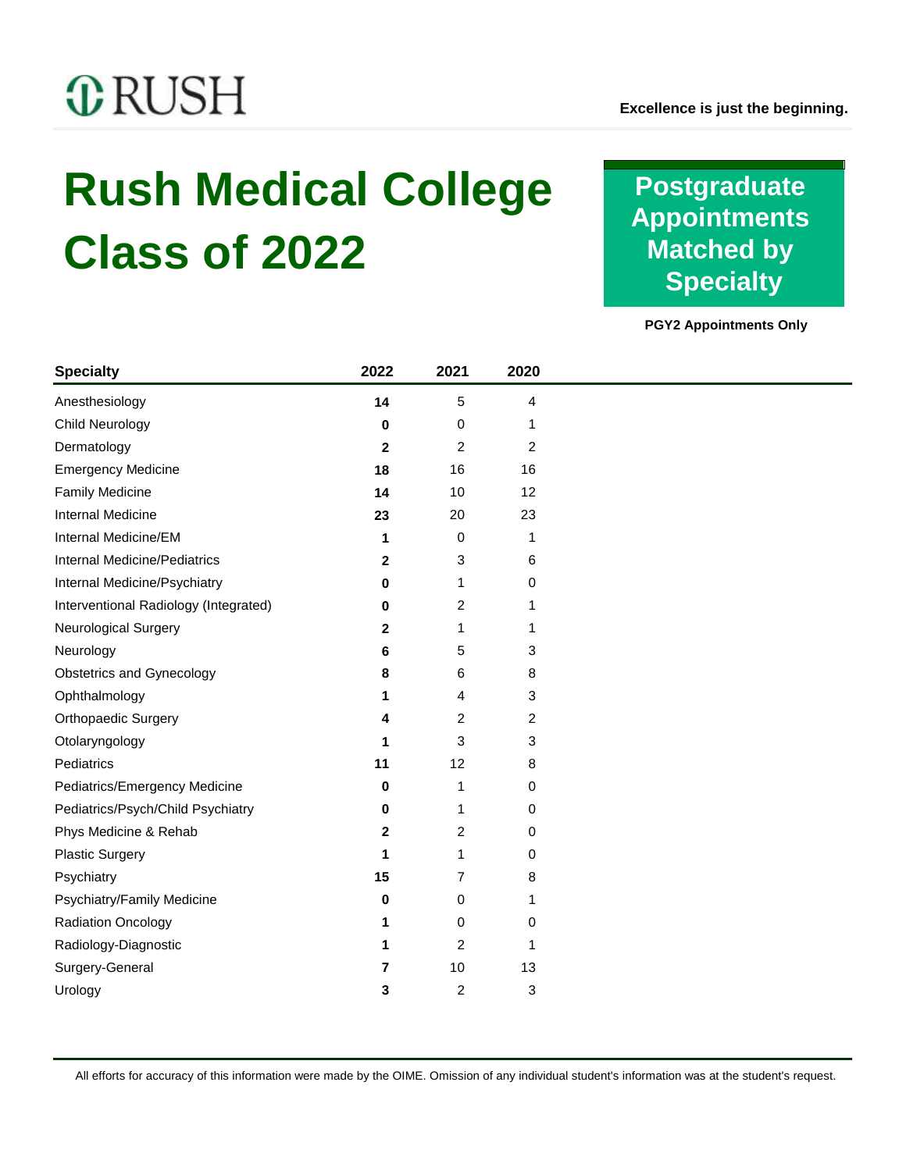# **C**RUSH

# **Rush Medical College Class of 2022**

**Postgraduate Appointments Matched by Specialty**

**PGY2 Appointments Only**

| <b>Specialty</b>                      | 2022         | 2021           | 2020           |
|---------------------------------------|--------------|----------------|----------------|
| Anesthesiology                        | 14           | 5              | 4              |
| Child Neurology                       | 0            | 0              | 1              |
| Dermatology                           | $\mathbf{2}$ | $\overline{2}$ | $\overline{c}$ |
| <b>Emergency Medicine</b>             | 18           | 16             | 16             |
| <b>Family Medicine</b>                | 14           | 10             | 12             |
| Internal Medicine                     | 23           | 20             | 23             |
| Internal Medicine/EM                  | 1            | 0              | 1              |
| <b>Internal Medicine/Pediatrics</b>   | 2            | 3              | 6              |
| Internal Medicine/Psychiatry          | 0            | 1              | 0              |
| Interventional Radiology (Integrated) | 0            | 2              | 1              |
| Neurological Surgery                  | 2            | 1              | 1              |
| Neurology                             | 6            | 5              | 3              |
| <b>Obstetrics and Gynecology</b>      | 8            | 6              | 8              |
| Ophthalmology                         | 1            | 4              | 3              |
| Orthopaedic Surgery                   | 4            | 2              | $\overline{c}$ |
| Otolaryngology                        | 1            | 3              | 3              |
| Pediatrics                            | 11           | 12             | 8              |
| Pediatrics/Emergency Medicine         | 0            | 1              | 0              |
| Pediatrics/Psych/Child Psychiatry     | 0            | 1              | 0              |
| Phys Medicine & Rehab                 | 2            | 2              | 0              |
| <b>Plastic Surgery</b>                | 1            | 1              | 0              |
| Psychiatry                            | 15           | 7              | 8              |
| Psychiatry/Family Medicine            | 0            | 0              | 1              |
| Radiation Oncology                    | 1            | 0              | 0              |
| Radiology-Diagnostic                  | 1            | $\overline{c}$ | 1              |
| Surgery-General                       | 7            | 10             | 13             |
| Urology                               | 3            | $\overline{c}$ | 3              |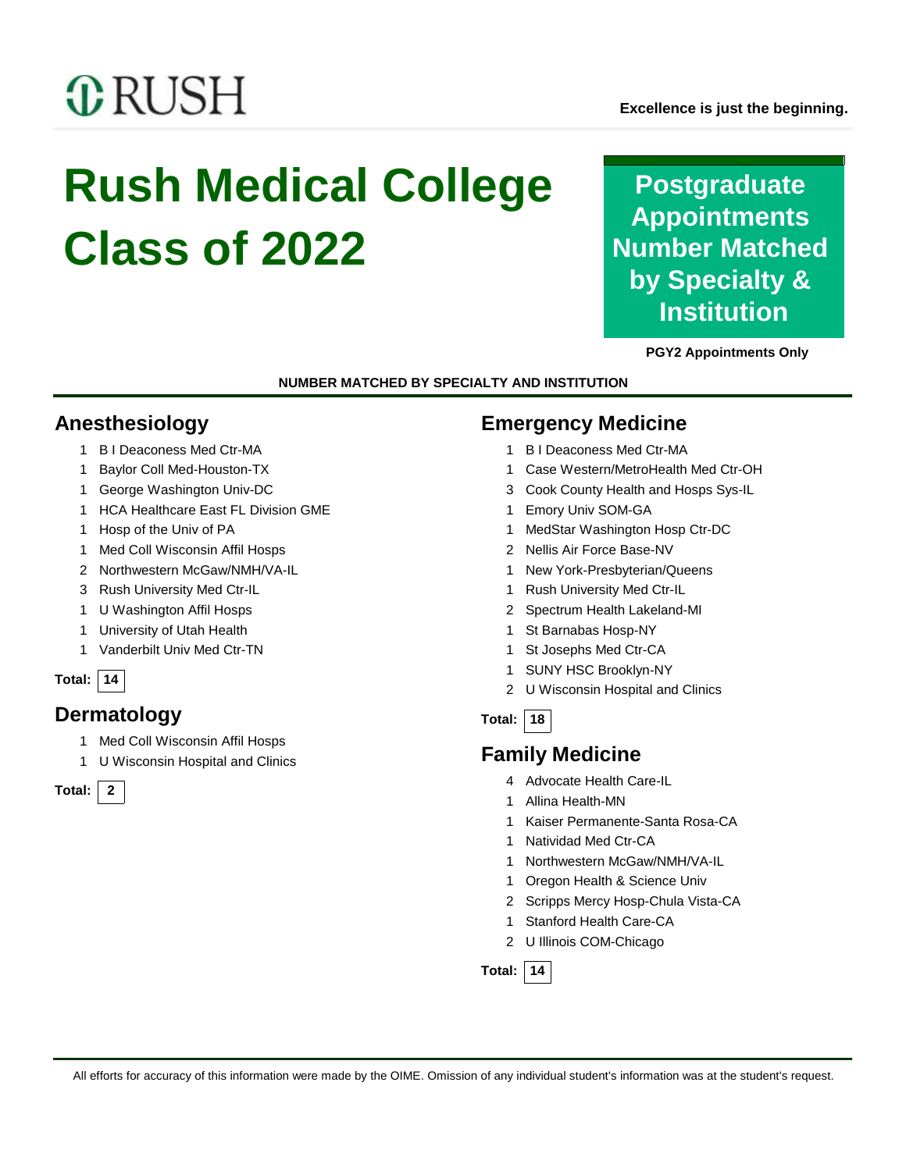# *C* RUSH

# **Rush Medical College Class of 2022**

**Postgraduate Appointments Number Matched by Specialty & Institution**

**PGY2 Appointments Only**

**NUMBER MATCHED BY SPECIALTY AND INSTITUTION**

# **Anesthesiology**

- B I Deaconess Med Ctr-MA
- Baylor Coll Med-Houston-TX
- George Washington Univ-DC
- HCA Healthcare East FL Division GME
- Hosp of the Univ of PA
- Med Coll Wisconsin Affil Hosps
- Northwestern McGaw/NMH/VA-IL
- Rush University Med Ctr-IL
- U Washington Affil Hosps
- University of Utah Health
- Vanderbilt Univ Med Ctr-TN

#### **Total: 14**

# **Dermatology**

- Med Coll Wisconsin Affil Hosps
- U Wisconsin Hospital and Clinics

**Total: 2**

## **Emergency Medicine**

- B I Deaconess Med Ctr-MA
- Case Western/MetroHealth Med Ctr-OH
- Cook County Health and Hosps Sys-IL
- Emory Univ SOM-GA
- MedStar Washington Hosp Ctr-DC
- Nellis Air Force Base-NV
- New York-Presbyterian/Queens
- Rush University Med Ctr-IL
- Spectrum Health Lakeland-MI
- St Barnabas Hosp-NY
- St Josephs Med Ctr-CA
- SUNY HSC Brooklyn-NY
- U Wisconsin Hospital and Clinics
- **Total: 18**

# **Family Medicine**

- Advocate Health Care-IL
- Allina Health-MN
- Kaiser Permanente-Santa Rosa-CA
- Natividad Med Ctr-CA
- Northwestern McGaw/NMH/VA-IL
- Oregon Health & Science Univ
- Scripps Mercy Hosp-Chula Vista-CA
- Stanford Health Care-CA
- U Illinois COM-Chicago

**Total: 14**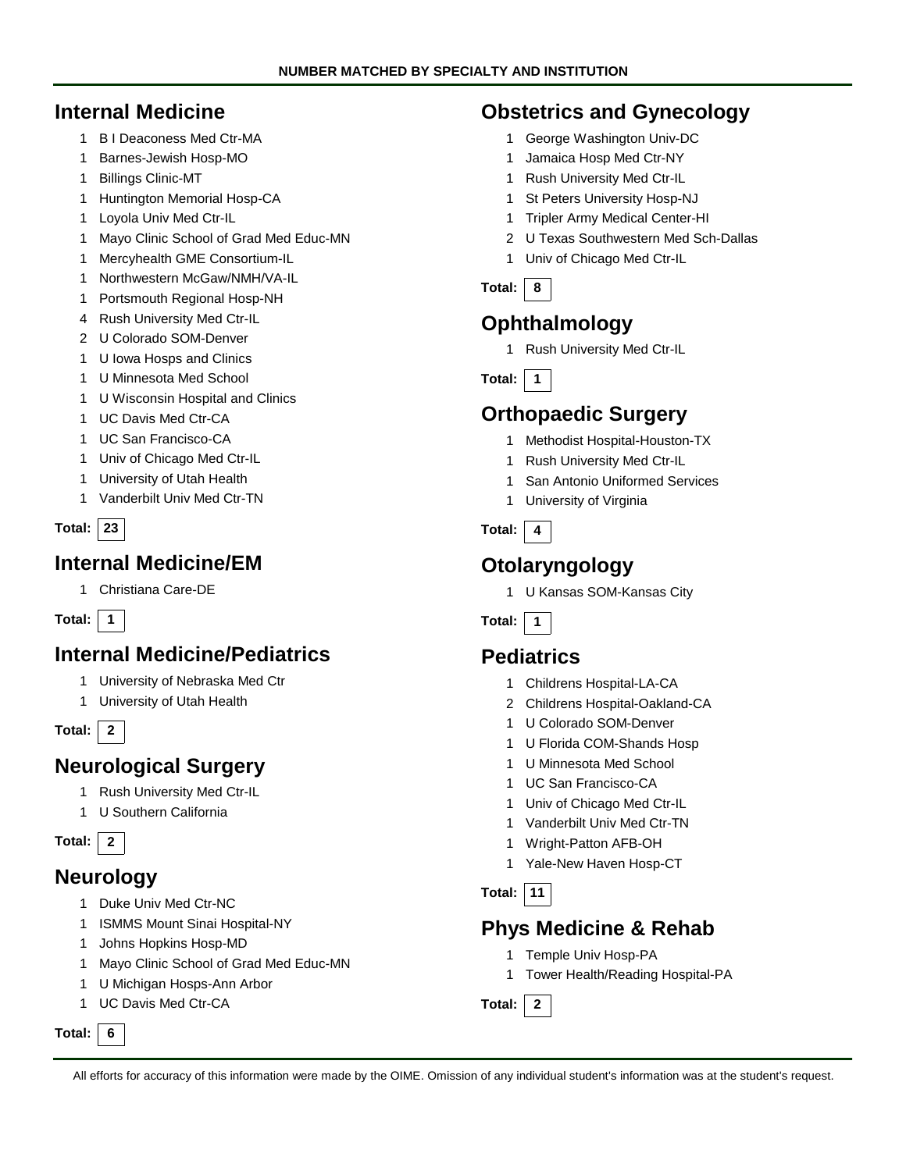### **Internal Medicine**

- B I Deaconess Med Ctr-MA
- Barnes-Jewish Hosp-MO
- Billings Clinic-MT
- Huntington Memorial Hosp-CA
- Loyola Univ Med Ctr-IL
- Mayo Clinic School of Grad Med Educ-MN
- Mercyhealth GME Consortium-IL
- Northwestern McGaw/NMH/VA-IL
- Portsmouth Regional Hosp-NH
- Rush University Med Ctr-IL
- U Colorado SOM-Denver
- U Iowa Hosps and Clinics
- U Minnesota Med School
- U Wisconsin Hospital and Clinics
- UC Davis Med Ctr-CA
- UC San Francisco-CA
- Univ of Chicago Med Ctr-IL
- University of Utah Health
- Vanderbilt Univ Med Ctr-TN

#### **Total: 23**

#### **Internal Medicine/EM**

Christiana Care-DE

#### **Total: 1**

## **Internal Medicine/Pediatrics**

- University of Nebraska Med Ctr
- University of Utah Health

**Total: 2**

## **Neurological Surgery**

- Rush University Med Ctr-IL
- U Southern California

**Total: 2**

#### **Neurology**

- Duke Univ Med Ctr-NC
- ISMMS Mount Sinai Hospital-NY
- Johns Hopkins Hosp-MD
- Mayo Clinic School of Grad Med Educ-MN
- U Michigan Hosps-Ann Arbor
- UC Davis Med Ctr-CA

#### **Total: 6**

## **Obstetrics and Gynecology**

- George Washington Univ-DC
- Jamaica Hosp Med Ctr-NY
- Rush University Med Ctr-IL
- St Peters University Hosp-NJ
- Tripler Army Medical Center-HI
- U Texas Southwestern Med Sch-Dallas
- Univ of Chicago Med Ctr-IL
- **Total: 8**

# **Ophthalmology**

Rush University Med Ctr-IL

**Total: 1**

## **Orthopaedic Surgery**

- Methodist Hospital-Houston-TX
- Rush University Med Ctr-IL
- San Antonio Uniformed Services
- University of Virginia

#### **Total: 4**

# **Otolaryngology**

U Kansas SOM-Kansas City

**Total: 1**

## **Pediatrics**

- Childrens Hospital-LA-CA
- Childrens Hospital-Oakland-CA
- U Colorado SOM-Denver
- U Florida COM-Shands Hosp
- U Minnesota Med School
- UC San Francisco-CA
- Univ of Chicago Med Ctr-IL
- Vanderbilt Univ Med Ctr-TN
- Wright-Patton AFB-OH
- Yale-New Haven Hosp-CT
- **Total: 11**

#### **Phys Medicine & Rehab**

- Temple Univ Hosp-PA
- Tower Health/Reading Hospital-PA

**Total: 2**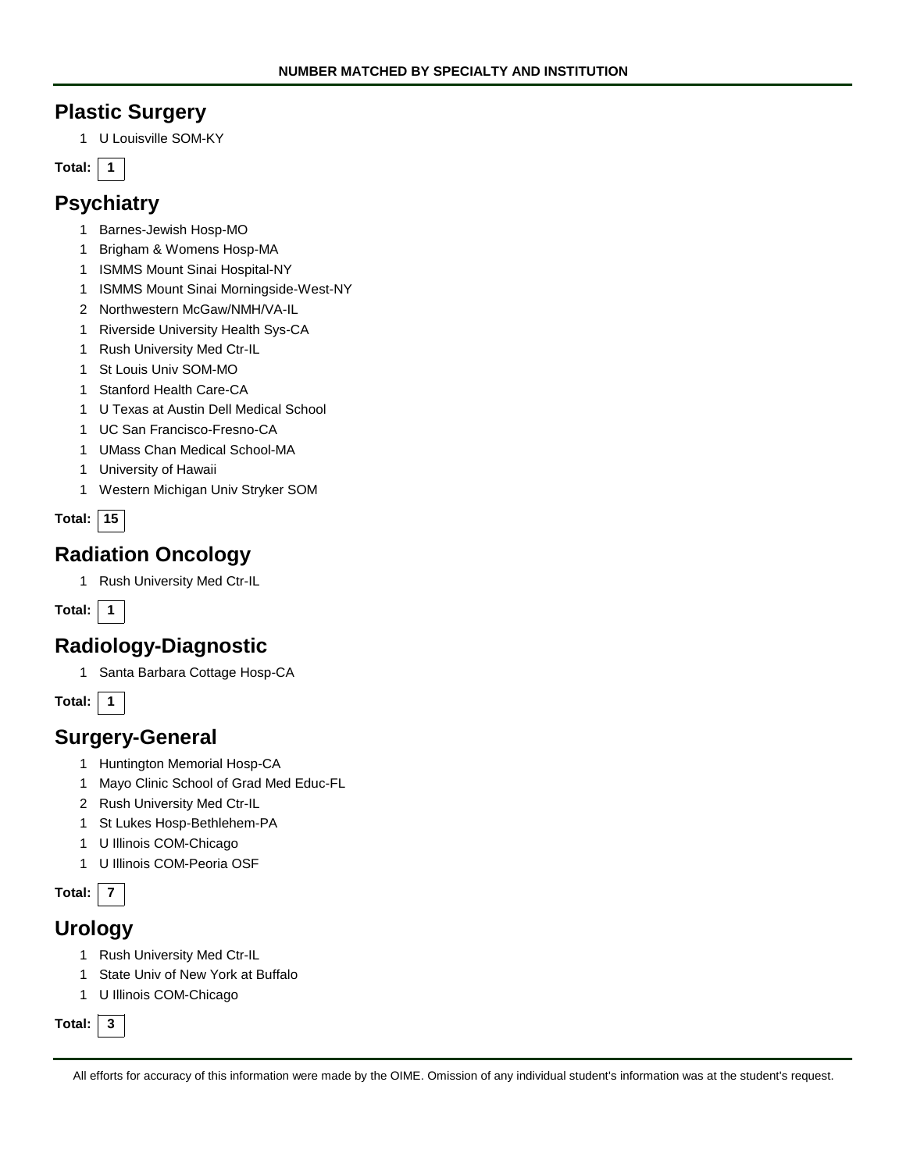## **Plastic Surgery**

U Louisville SOM-KY

**Total: 1**

# **Psychiatry**

- Barnes-Jewish Hosp-MO
- Brigham & Womens Hosp-MA
- ISMMS Mount Sinai Hospital-NY
- ISMMS Mount Sinai Morningside-West-NY
- Northwestern McGaw/NMH/VA-IL
- Riverside University Health Sys-CA
- Rush University Med Ctr-IL
- St Louis Univ SOM-MO
- Stanford Health Care-CA
- U Texas at Austin Dell Medical School
- UC San Francisco-Fresno-CA
- UMass Chan Medical School-MA
- University of Hawaii
- Western Michigan Univ Stryker SOM

| Total: |  |
|--------|--|
|        |  |

# **Radiation Oncology**

Rush University Med Ctr-IL

**Total: 1**

## **Radiology-Diagnostic**

Santa Barbara Cottage Hosp-CA

**Total: 1**

## **Surgery-General**

- Huntington Memorial Hosp-CA
- Mayo Clinic School of Grad Med Educ-FL
- Rush University Med Ctr-IL
- St Lukes Hosp-Bethlehem-PA
- U Illinois COM-Chicago
- U Illinois COM-Peoria OSF

**Total: 7**

## **Urology**

- Rush University Med Ctr-IL
- State Univ of New York at Buffalo
- U Illinois COM-Chicago

**Total: 3**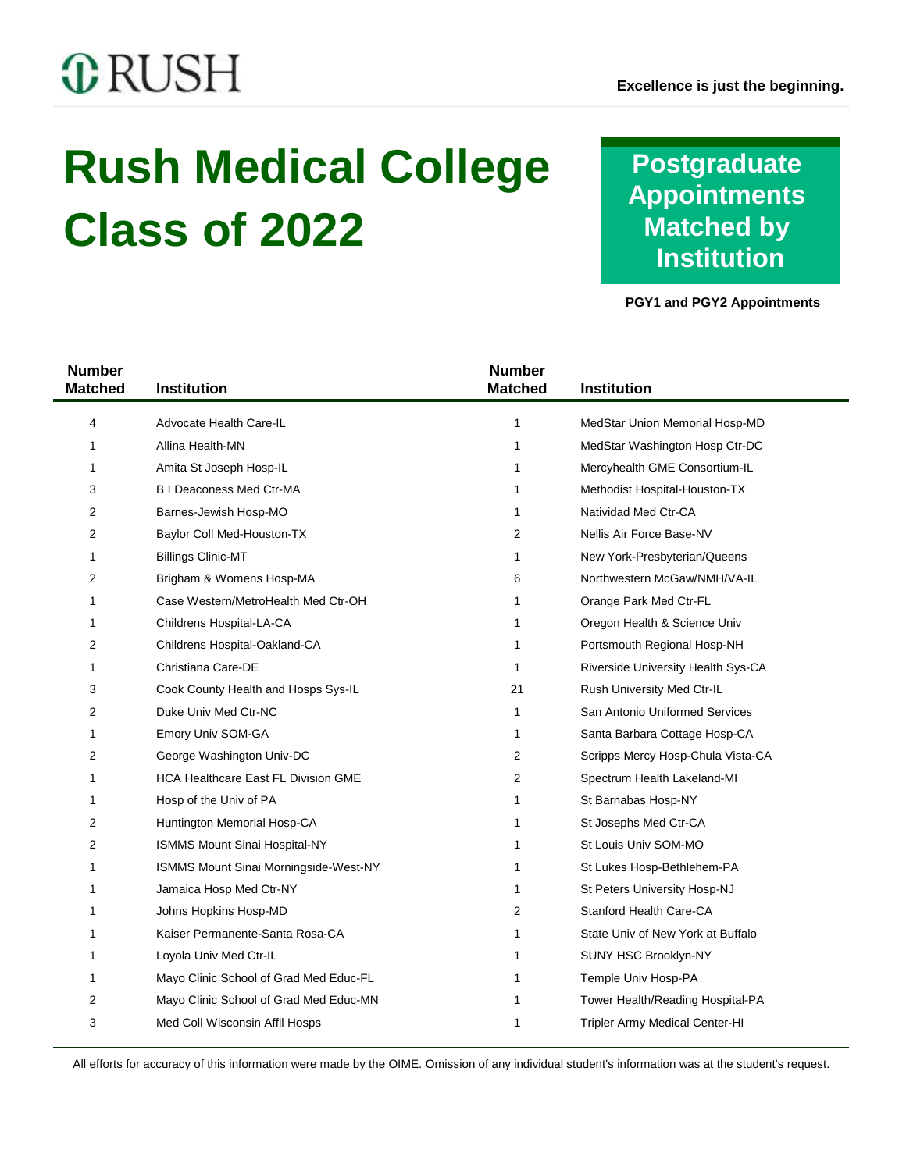# **C**RUSH

 $\overline{\phantom{0}}$ 

# **Rush Medical College Class of 2022**

# **Postgraduate Appointments Matched by Institution**

**PGY1 and PGY2 Appointments**

| <b>Number</b><br><b>Matched</b> | Institution                                | <b>Number</b><br><b>Matched</b> | <b>Institution</b>                 |
|---------------------------------|--------------------------------------------|---------------------------------|------------------------------------|
| 4                               | Advocate Health Care-IL                    | 1                               | MedStar Union Memorial Hosp-MD     |
| 1                               | Allina Health-MN                           | 1                               | MedStar Washington Hosp Ctr-DC     |
| 1                               | Amita St Joseph Hosp-IL                    | 1                               | Mercyhealth GME Consortium-IL      |
| 3                               | <b>BI Deaconess Med Ctr-MA</b>             | 1                               | Methodist Hospital-Houston-TX      |
| 2                               | Barnes-Jewish Hosp-MO                      | 1                               | Natividad Med Ctr-CA               |
| 2                               | Baylor Coll Med-Houston-TX                 | 2                               | Nellis Air Force Base-NV           |
| 1                               | <b>Billings Clinic-MT</b>                  | 1                               | New York-Presbyterian/Queens       |
| 2                               | Brigham & Womens Hosp-MA                   | 6                               | Northwestern McGaw/NMH/VA-IL       |
| 1                               | Case Western/MetroHealth Med Ctr-OH        | 1                               | Orange Park Med Ctr-FL             |
| 1                               | Childrens Hospital-LA-CA                   | 1                               | Oregon Health & Science Univ       |
| 2                               | Childrens Hospital-Oakland-CA              | 1                               | Portsmouth Regional Hosp-NH        |
| 1                               | Christiana Care-DE                         | 1                               | Riverside University Health Sys-CA |
| 3                               | Cook County Health and Hosps Sys-IL        | 21                              | Rush University Med Ctr-IL         |
| 2                               | Duke Univ Med Ctr-NC                       | 1                               | San Antonio Uniformed Services     |
| 1                               | Emory Univ SOM-GA                          | 1                               | Santa Barbara Cottage Hosp-CA      |
| 2                               | George Washington Univ-DC                  | 2                               | Scripps Mercy Hosp-Chula Vista-CA  |
| 1                               | <b>HCA Healthcare East FL Division GME</b> | 2                               | Spectrum Health Lakeland-MI        |
| 1                               | Hosp of the Univ of PA                     | 1                               | St Barnabas Hosp-NY                |
| 2                               | Huntington Memorial Hosp-CA                | 1                               | St Josephs Med Ctr-CA              |
| 2                               | <b>ISMMS Mount Sinai Hospital-NY</b>       | 1                               | St Louis Univ SOM-MO               |
| 1                               | ISMMS Mount Sinai Morningside-West-NY      | 1                               | St Lukes Hosp-Bethlehem-PA         |
| 1                               | Jamaica Hosp Med Ctr-NY                    | 1                               | St Peters University Hosp-NJ       |
| 1                               | Johns Hopkins Hosp-MD                      | 2                               | Stanford Health Care-CA            |
| 1                               | Kaiser Permanente-Santa Rosa-CA            | 1                               | State Univ of New York at Buffalo  |
| 1                               | Loyola Univ Med Ctr-IL                     | 1                               | SUNY HSC Brooklyn-NY               |
| 1                               | Mayo Clinic School of Grad Med Educ-FL     | 1                               | Temple Univ Hosp-PA                |
| 2                               | Mayo Clinic School of Grad Med Educ-MN     | 1                               | Tower Health/Reading Hospital-PA   |
| 3                               | Med Coll Wisconsin Affil Hosps             | 1                               | Tripler Army Medical Center-HI     |